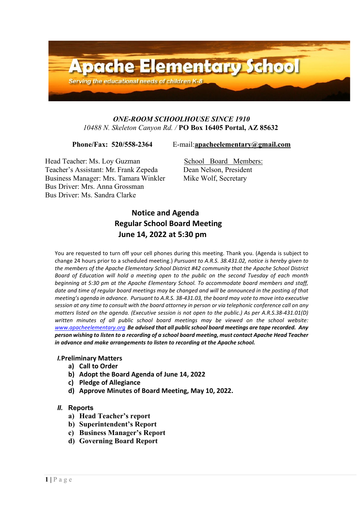

# *ONE-ROOM SCHOOLHOUSE SINCE 1910 10488 N. Skeleton Canyon Rd. /* **PO Box 16405 Portal, AZ 85632**

**Phone/Fax: 520/558-2364** E-mail:**[apacheelementary@gmail.com](mailto:apacheelementary@gmail.com)**

Head Teacher: Ms. Loy Guzman School Board Members:<br>
Teacher's Assistant: Mr. Frank Zepeda Dean Nelson, President Teacher's Assistant: Mr. Frank Zepeda Business Manager: Mrs. Tamara Winkler Mike Wolf, Secretary Bus Driver: Mrs. Anna Grossman Bus Driver: Ms. Sandra Clarke

# **Notice and Agenda Regular School Board Meeting June 14, 2022 at 5:30 pm**

You are requested to turn off your cell phones during this meeting. Thank you. (Agenda is subject to change 24 hours prior to a scheduled meeting.) *Pursuant to A.R.S. 38.431.02, notice is hereby given to the members of the Apache Elementary School District #42 community that the Apache School District Board of Education will hold a meeting open to the public on the second Tuesday of each month beginning at 5:30 pm at the Apache Elementary School. To accommodate board members and staff, date and time of regular board meetings may be changed and will be announced in the posting of that meeting's agenda in advance. Pursuant to A.R.S. 38-431.03, the board may vote to move into executive*  session at any time to consult with the board attorney in person or via telephonic conference call on any *matters listed on the agenda. (Executive session is not open to the public.) As per A.R.S.38-431.01(D) written minutes of all public school board meetings may be viewed on the school website: [www.apacheelementary.org](http://www.apacheelementary.org/) Be advised that all public school board meetings are tape recorded. Any person wishing to listen to a recording of a school board meeting, must contact Apache Head Teacher in advance and make arrangements to listen to recording at the Apache school.*

## *I.***Preliminary Matters**

- **a) Call to Order**
- **b) Adopt the Board Agenda of June 14, 2022**
- **c) Pledge of Allegiance**
- **d) Approve Minutes of Board Meeting, May 10, 2022.**

# *II.* **Reports**

- **a) Head Teacher's report**
- **b) Superintendent's Report**
- **c) Business Manager's Report**
- **d) Governing Board Report**